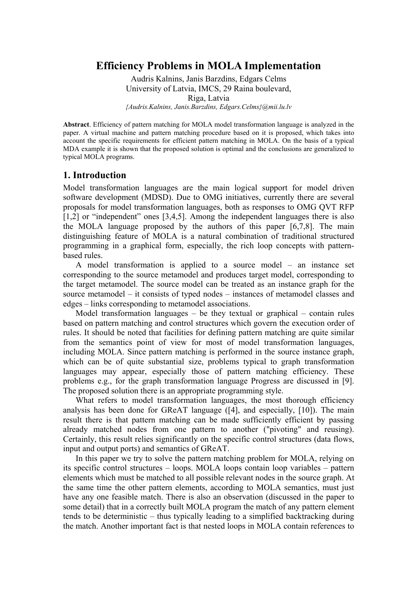# **Efficiency Problems in MOLA Implementation**

Audris Kalnins, Janis Barzdins, Edgars Celms University of Latvia, IMCS, 29 Raina boulevard, Riga, Latvia *{Audris.Kalnins, Janis.Barzdins, Edgars.Celms}@mii.lu.lv* 

**Abstract**. Efficiency of pattern matching for MOLA model transformation language is analyzed in the paper. A virtual machine and pattern matching procedure based on it is proposed, which takes into account the specific requirements for efficient pattern matching in MOLA. On the basis of a typical MDA example it is shown that the proposed solution is optimal and the conclusions are generalized to typical MOLA programs.

### **1. Introduction**

Model transformation languages are the main logical support for model driven software development (MDSD). Due to OMG initiatives, currently there are several proposals for model transformation languages, both as responses to OMG QVT RFP [1,2] or "independent" ones [3,4,5]. Among the independent languages there is also the MOLA language proposed by the authors of this paper [6,7,8]. The main distinguishing feature of MOLA is a natural combination of traditional structured programming in a graphical form, especially, the rich loop concepts with patternbased rules.

A model transformation is applied to a source model – an instance set corresponding to the source metamodel and produces target model, corresponding to the target metamodel. The source model can be treated as an instance graph for the source metamodel – it consists of typed nodes – instances of metamodel classes and edges – links corresponding to metamodel associations.

Model transformation languages  $-$  be they textual or graphical  $-$  contain rules based on pattern matching and control structures which govern the execution order of rules. It should be noted that facilities for defining pattern matching are quite similar from the semantics point of view for most of model transformation languages, including MOLA. Since pattern matching is performed in the source instance graph, which can be of quite substantial size, problems typical to graph transformation languages may appear, especially those of pattern matching efficiency. These problems e.g., for the graph transformation language Progress are discussed in [9]. The proposed solution there is an appropriate programming style.

What refers to model transformation languages, the most thorough efficiency analysis has been done for GReAT language ([4], and especially, [10]). The main result there is that pattern matching can be made sufficiently efficient by passing already matched nodes from one pattern to another ("pivoting" and reusing). Certainly, this result relies significantly on the specific control structures (data flows, input and output ports) and semantics of GReAT.

In this paper we try to solve the pattern matching problem for MOLA, relying on its specific control structures – loops. MOLA loops contain loop variables – pattern elements which must be matched to all possible relevant nodes in the source graph. At the same time the other pattern elements, according to MOLA semantics, must just have any one feasible match. There is also an observation (discussed in the paper to some detail) that in a correctly built MOLA program the match of any pattern element tends to be deterministic – thus typically leading to a simplified backtracking during the match. Another important fact is that nested loops in MOLA contain references to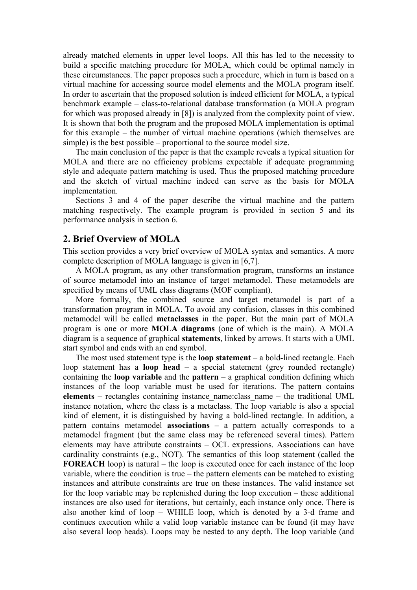already matched elements in upper level loops. All this has led to the necessity to build a specific matching procedure for MOLA, which could be optimal namely in these circumstances. The paper proposes such a procedure, which in turn is based on a virtual machine for accessing source model elements and the MOLA program itself. In order to ascertain that the proposed solution is indeed efficient for MOLA, a typical benchmark example – class-to-relational database transformation (a MOLA program for which was proposed already in [8]) is analyzed from the complexity point of view. It is shown that both the program and the proposed MOLA implementation is optimal for this example – the number of virtual machine operations (which themselves are simple) is the best possible – proportional to the source model size.

The main conclusion of the paper is that the example reveals a typical situation for MOLA and there are no efficiency problems expectable if adequate programming style and adequate pattern matching is used. Thus the proposed matching procedure and the sketch of virtual machine indeed can serve as the basis for MOLA implementation.

Sections 3 and 4 of the paper describe the virtual machine and the pattern matching respectively. The example program is provided in section 5 and its performance analysis in section 6.

### **2. Brief Overview of MOLA**

This section provides a very brief overview of MOLA syntax and semantics. A more complete description of MOLA language is given in [6,7].

A MOLA program, as any other transformation program, transforms an instance of source metamodel into an instance of target metamodel. These metamodels are specified by means of UML class diagrams (MOF compliant).

More formally, the combined source and target metamodel is part of a transformation program in MOLA. To avoid any confusion, classes in this combined metamodel will be called **metaclasses** in the paper. But the main part of MOLA program is one or more **MOLA diagrams** (one of which is the main). A MOLA diagram is a sequence of graphical **statements**, linked by arrows. It starts with a UML start symbol and ends with an end symbol.

The most used statement type is the **loop statement** – a bold-lined rectangle. Each loop statement has a **loop head** – a special statement (grey rounded rectangle) containing the **loop variable** and the **pattern** – a graphical condition defining which instances of the loop variable must be used for iterations. The pattern contains **elements** – rectangles containing instance\_name:class\_name – the traditional UML instance notation, where the class is a metaclass. The loop variable is also a special kind of element, it is distinguished by having a bold-lined rectangle. In addition, a pattern contains metamodel **associations** – a pattern actually corresponds to a metamodel fragment (but the same class may be referenced several times). Pattern elements may have attribute constraints – OCL expressions. Associations can have cardinality constraints (e.g., NOT). The semantics of this loop statement (called the **FOREACH** loop) is natural – the loop is executed once for each instance of the loop variable, where the condition is true – the pattern elements can be matched to existing instances and attribute constraints are true on these instances. The valid instance set for the loop variable may be replenished during the loop execution – these additional instances are also used for iterations, but certainly, each instance only once. There is also another kind of loop – WHILE loop, which is denoted by a 3-d frame and continues execution while a valid loop variable instance can be found (it may have also several loop heads). Loops may be nested to any depth. The loop variable (and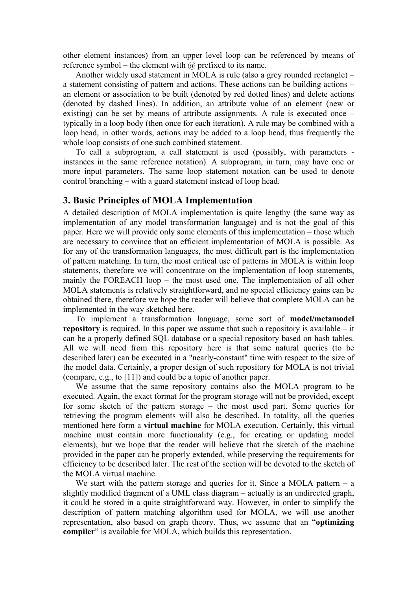other element instances) from an upper level loop can be referenced by means of reference symbol – the element with  $\omega$  prefixed to its name.

Another widely used statement in MOLA is rule (also a grey rounded rectangle) – a statement consisting of pattern and actions. These actions can be building actions – an element or association to be built (denoted by red dotted lines) and delete actions (denoted by dashed lines). In addition, an attribute value of an element (new or existing) can be set by means of attribute assignments. A rule is executed once – typically in a loop body (then once for each iteration). A rule may be combined with a loop head, in other words, actions may be added to a loop head, thus frequently the whole loop consists of one such combined statement.

To call a subprogram, a call statement is used (possibly, with parameters instances in the same reference notation). A subprogram, in turn, may have one or more input parameters. The same loop statement notation can be used to denote control branching – with a guard statement instead of loop head.

#### **3. Basic Principles of MOLA Implementation**

A detailed description of MOLA implementation is quite lengthy (the same way as implementation of any model transformation language) and is not the goal of this paper. Here we will provide only some elements of this implementation – those which are necessary to convince that an efficient implementation of MOLA is possible. As for any of the transformation languages, the most difficult part is the implementation of pattern matching. In turn, the most critical use of patterns in MOLA is within loop statements, therefore we will concentrate on the implementation of loop statements, mainly the FOREACH loop – the most used one. The implementation of all other MOLA statements is relatively straightforward, and no special efficiency gains can be obtained there, therefore we hope the reader will believe that complete MOLA can be implemented in the way sketched here.

To implement a transformation language, some sort of **model/metamodel repository** is required. In this paper we assume that such a repository is available – it can be a properly defined SQL database or a special repository based on hash tables. All we will need from this repository here is that some natural queries (to be described later) can be executed in a "nearly-constant" time with respect to the size of the model data. Certainly, a proper design of such repository for MOLA is not trivial (compare, e.g., to [11]) and could be a topic of another paper.

We assume that the same repository contains also the MOLA program to be executed. Again, the exact format for the program storage will not be provided, except for some sketch of the pattern storage – the most used part. Some queries for retrieving the program elements will also be described. In totality, all the queries mentioned here form a **virtual machine** for MOLA execution. Certainly, this virtual machine must contain more functionality (e.g., for creating or updating model elements), but we hope that the reader will believe that the sketch of the machine provided in the paper can be properly extended, while preserving the requirements for efficiency to be described later. The rest of the section will be devoted to the sketch of the MOLA virtual machine.

We start with the pattern storage and queries for it. Since a MOLA pattern  $-$  a slightly modified fragment of a UML class diagram – actually is an undirected graph, it could be stored in a quite straightforward way. However, in order to simplify the description of pattern matching algorithm used for MOLA, we will use another representation, also based on graph theory. Thus, we assume that an "**optimizing compiler**" is available for MOLA, which builds this representation.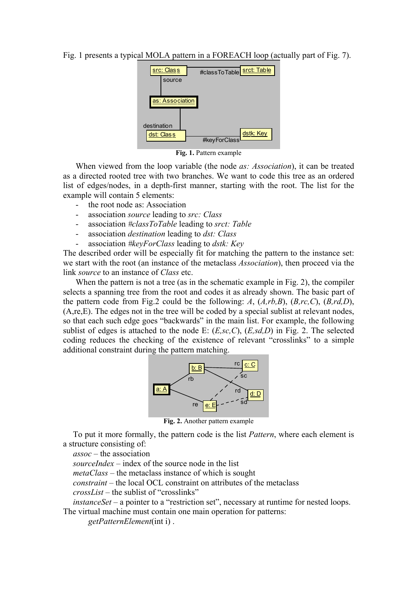Fig. 1 presents a typical MOLA pattern in a FOREACH loop (actually part of Fig. 7).



**Fig. 1.** Pattern example

When viewed from the loop variable (the node *as: Association*), it can be treated as a directed rooted tree with two branches. We want to code this tree as an ordered list of edges/nodes, in a depth-first manner, starting with the root. The list for the example will contain 5 elements:

- the root node as: Association
- association *source* leading to *src: Class*
- association *#classToTable* leading to *srct: Table*
- association *destination* leading to *dst: Class*
- association *#keyForClass* leading to *dstk: Key*

The described order will be especially fit for matching the pattern to the instance set: we start with the root (an instance of the metaclass *Association*), then proceed via the link *source* to an instance of *Class* etc.

When the pattern is not a tree (as in the schematic example in Fig. 2), the compiler selects a spanning tree from the root and codes it as already shown. The basic part of the pattern code from Fig.2 could be the following: *A*, (*A,rb,B*), (*B,rc,C*), (*B,rd,D*), (A,re,E). The edges not in the tree will be coded by a special sublist at relevant nodes, so that each such edge goes "backwards" in the main list. For example, the following sublist of edges is attached to the node E: (*E,sc,C*), (*E,sd,D*) in Fig. 2. The selected coding reduces the checking of the existence of relevant "crosslinks" to a simple additional constraint during the pattern matching.



**Fig. 2.** Another pattern example

To put it more formally, the pattern code is the list *Pattern*, where each element is a structure consisting of:

*assoc* – the association

*sourceIndex* – index of the source node in the list

*metaClass* – the metaclass instance of which is sought

*constraint* – the local OCL constraint on attributes of the metaclass

*crossList* – the sublist of "crosslinks"

*instanceSet* – a pointer to a "restriction set", necessary at runtime for nested loops. The virtual machine must contain one main operation for patterns:

*getPatternElement*(int i) .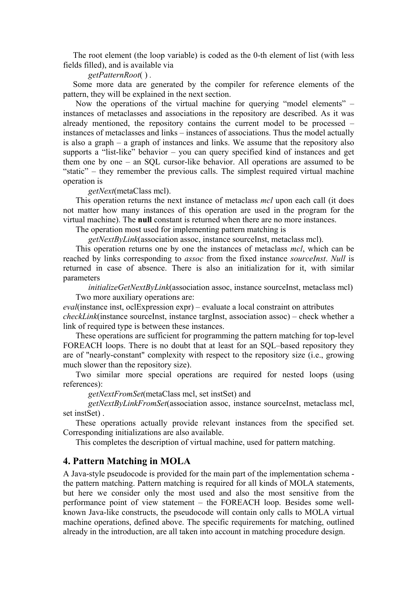The root element (the loop variable) is coded as the 0-th element of list (with less fields filled), and is available via

*getPatternRoot*( ) *.* 

Some more data are generated by the compiler for reference elements of the pattern, they will be explained in the next section.

Now the operations of the virtual machine for querying "model elements" – instances of metaclasses and associations in the repository are described. As it was already mentioned, the repository contains the current model to be processed – instances of metaclasses and links – instances of associations. Thus the model actually is also a graph – a graph of instances and links. We assume that the repository also supports a "list-like" behavior – you can query specified kind of instances and get them one by one – an SQL cursor-like behavior. All operations are assumed to be "static" – they remember the previous calls. The simplest required virtual machine operation is

*getNext*(metaClass mcl).

This operation returns the next instance of metaclass *mcl* upon each call (it does not matter how many instances of this operation are used in the program for the virtual machine). The **null** constant is returned when there are no more instances.

The operation most used for implementing pattern matching is

*getNextByLink*(association assoc, instance sourceInst, metaclass mcl).

This operation returns one by one the instances of metaclass *mcl*, which can be reached by links corresponding to *assoc* from the fixed instance *sourceInst*. *Null* is returned in case of absence. There is also an initialization for it, with similar parameters

*initializeGetNextByLink*(association assoc, instance sourceInst, metaclass mcl) Two more auxiliary operations are:

*eval*(instance inst, oclExpression expr) – evaluate a local constraint on attributes *checkLink*(instance sourceInst, instance targInst, association assoc) – check whether a link of required type is between these instances.

These operations are sufficient for programming the pattern matching for top-level FOREACH loops. There is no doubt that at least for an SQL–based repository they are of "nearly-constant" complexity with respect to the repository size (i.e., growing much slower than the repository size).

Two similar more special operations are required for nested loops (using references):

*getNextFromSet*(metaClass mcl, set instSet) and

*getNextByLinkFromSet*(association assoc, instance sourceInst, metaclass mcl, set instSet) .

These operations actually provide relevant instances from the specified set. Corresponding initializations are also available.

This completes the description of virtual machine, used for pattern matching.

### **4. Pattern Matching in MOLA**

A Java-style pseudocode is provided for the main part of the implementation schema the pattern matching. Pattern matching is required for all kinds of MOLA statements, but here we consider only the most used and also the most sensitive from the performance point of view statement – the FOREACH loop. Besides some wellknown Java-like constructs, the pseudocode will contain only calls to MOLA virtual machine operations, defined above. The specific requirements for matching, outlined already in the introduction, are all taken into account in matching procedure design.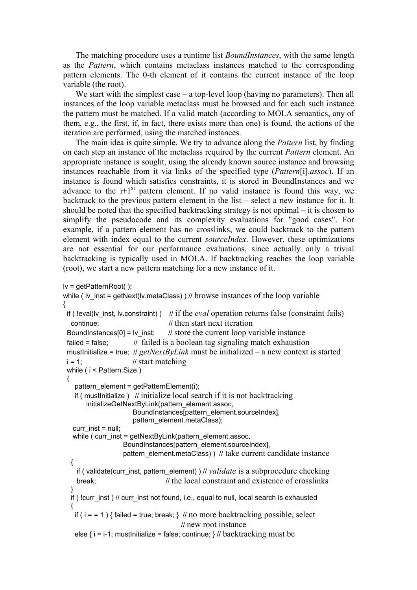The matching procedure uses a runtime list *BoundInstances*, with the same length as the *Pattern*, which contains metaclass instances matched to the corresponding pattern elements. The 0-th element of it contains the current instance of the loop variable (the root).

We start with the simplest case – a top-level loop (having no parameters). Then all instances of the loop variable metaclass must be browsed and for each such instance the pattern must be matched. If a valid match (according to MOLA semantics, any of them, e.g., the first, if, in fact, there exists more than one) is found, the actions of the iteration are performed, using the matched instances.

The main idea is quite simple. We try to advance along the *Pattern* list, by finding on each step an instance of the metaclass required by the current *Pattern* element. An appropriate instance is sought, using the already known source instance and browsing instances reachable from it via links of the specified type (*Pattern*[i].*assoc*). If an instance is found which satisfies constraints, it is stored in BoundInstances and we advance to the  $i+1$ <sup>st</sup> pattern element. If no valid instance is found this way, we backtrack to the previous pattern element in the list – select a new instance for it. It should be noted that the specified backtracking strategy is not optimal – it is chosen to simplify the pseudocode and its complexity evaluations for "good cases". For example, if a pattern element has no crosslinks, we could backtrack to the pattern element with index equal to the current *sourceIndex*. However, these optimizations are not essential for our performance evaluations, since actually only a trivial backtracking is typically used in MOLA. If backtracking reaches the loop variable (root), we start a new pattern matching for a new instance of it.

```
lv = getPatternRoot( );
```

```
while ( \mu inst = getNext(\nu.metaClass) ) // browse instances of the loop variable
{ 
 if ( !eval(ly inst, ly.constraint) ) // if the eval operation returns false (constraint fails)
  continue; \frac{1}{1} then start next iteration
 BoundInstances[0] = |v| inst; // store the current loop variable instance
 failed = false; \frac{1}{1} failed is a boolean tag signaling match exhaustion
 must Initialize = true; // getNextByLink must be initialized – a new context is started
 i = 1; // start matching
 while ( i < Pattern. Size )
  { 
    pattern_element = getPatternElement(i); 
   if ( must initialize ) \# initialize local search if it is not backtracking
        initializeGetNextByLink(pattern_element.assoc, 
                      BoundInstances[pattern_element.sourceIndex],
                      pattern_element.metaClass);
   curr inst = null;
   while ( curr_inst = getNextByLink(pattern_element.assoc,
                   BoundInstances[pattern_element.sourceIndex],
                   pattern_element.metaClass) ) // take current candidate instance
   { 
     if ( validate(curr_inst, pattern_element) ) // validate is a subprocedure checking 
     break; // the local constraint and existence of crosslinks 
 } 
   if ( !curr_inst ) // curr_inst not found, i.e., equal to null, local search is exhausted 
 { 
   if (i = 1) { failed = true; break; } // no more backtracking possible, select
                                      // new root instance 
   else \{ i = i-1; must Initialize = false; continue; \} // backtracking must be
```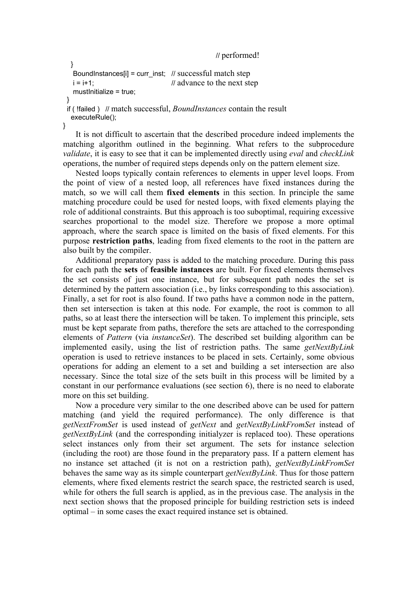```
 // performed!
```

```
 } 
 BoundInstances[i] = curr inst; // successful match step
 i = i+1; \frac{1}{2} // advance to the next step
 mustInitialize = true; 
 } 
 if ( !failed ) // match successful, BoundInstances contain the result
  executeRule();
```
}

It is not difficult to ascertain that the described procedure indeed implements the matching algorithm outlined in the beginning. What refers to the subprocedure *validate*, it is easy to see that it can be implemented directly using *eval* and *checkLink* operations, the number of required steps depends only on the pattern element size.

Nested loops typically contain references to elements in upper level loops. From the point of view of a nested loop, all references have fixed instances during the match, so we will call them **fixed elements** in this section. In principle the same matching procedure could be used for nested loops, with fixed elements playing the role of additional constraints. But this approach is too suboptimal, requiring excessive searches proportional to the model size. Therefore we propose a more optimal approach, where the search space is limited on the basis of fixed elements. For this purpose **restriction paths**, leading from fixed elements to the root in the pattern are also built by the compiler.

Additional preparatory pass is added to the matching procedure. During this pass for each path the **sets** of **feasible instances** are built. For fixed elements themselves the set consists of just one instance, but for subsequent path nodes the set is determined by the pattern association (i.e., by links corresponding to this association). Finally, a set for root is also found. If two paths have a common node in the pattern, then set intersection is taken at this node. For example, the root is common to all paths, so at least there the intersection will be taken. To implement this principle, sets must be kept separate from paths, therefore the sets are attached to the corresponding elements of *Pattern* (via *instanceSet*). The described set building algorithm can be implemented easily, using the list of restriction paths. The same *getNextByLink* operation is used to retrieve instances to be placed in sets. Certainly, some obvious operations for adding an element to a set and building a set intersection are also necessary. Since the total size of the sets built in this process will be limited by a constant in our performance evaluations (see section 6), there is no need to elaborate more on this set building.

Now a procedure very similar to the one described above can be used for pattern matching (and yield the required performance). The only difference is that *getNextFromSet* is used instead of *getNext* and *getNextByLinkFromSet* instead of *getNextByLink* (and the corresponding initialyzer is replaced too). These operations select instances only from their set argument. The sets for instance selection (including the root) are those found in the preparatory pass. If a pattern element has no instance set attached (it is not on a restriction path), *getNextByLinkFromSet* behaves the same way as its simple counterpart *getNextByLink*. Thus for those pattern elements, where fixed elements restrict the search space, the restricted search is used, while for others the full search is applied, as in the previous case. The analysis in the next section shows that the proposed principle for building restriction sets is indeed optimal – in some cases the exact required instance set is obtained.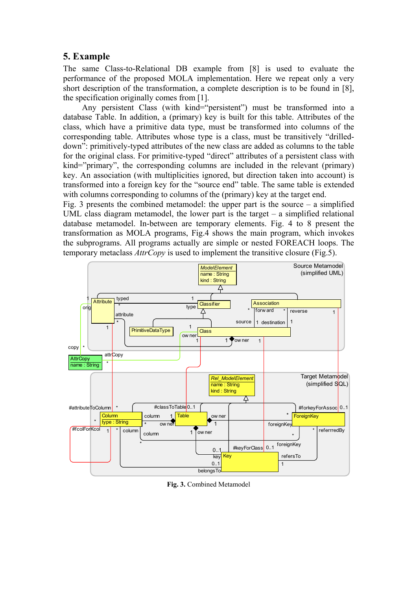# **5. Example**

The same Class-to-Relational DB example from [8] is used to evaluate the performance of the proposed MOLA implementation. Here we repeat only a very short description of the transformation, a complete description is to be found in [8], the specification originally comes from [1].

Any persistent Class (with kind="persistent") must be transformed into a database Table. In addition, a (primary) key is built for this table. Attributes of the class, which have a primitive data type, must be transformed into columns of the corresponding table. Attributes whose type is a class, must be transitively "drilleddown": primitively-typed attributes of the new class are added as columns to the table for the original class. For primitive-typed "direct" attributes of a persistent class with kind="primary", the corresponding columns are included in the relevant (primary) key. An association (with multiplicities ignored, but direction taken into account) is transformed into a foreign key for the "source end" table. The same table is extended with columns corresponding to columns of the (primary) key at the target end.

Fig. 3 presents the combined metamodel: the upper part is the source  $-$  a simplified UML class diagram metamodel, the lower part is the target – a simplified relational database metamodel. In-between are temporary elements. Fig. 4 to 8 present the transformation as MOLA programs, Fig.4 shows the main program, which invokes the subprograms. All programs actually are simple or nested FOREACH loops. The temporary metaclass *AttrCopy* is used to implement the transitive closure (Fig.5).



**Fig. 3.** Combined Metamodel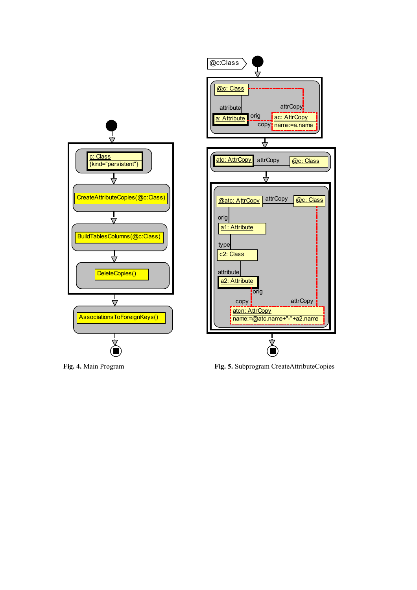

**Fig. 4.** Main Program **Fig. 5.** Subprogram CreateAttributeCopies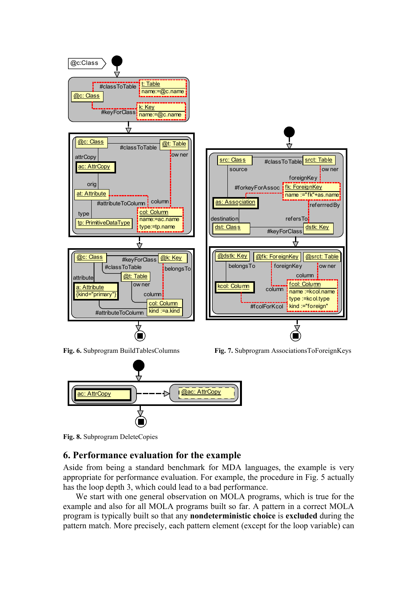

**Fig. 8.** Subprogram DeleteCopies

#### **6. Performance evaluation for the example**

Aside from being a standard benchmark for MDA languages, the example is very appropriate for performance evaluation. For example, the procedure in Fig. 5 actually has the loop depth 3, which could lead to a bad performance.

We start with one general observation on MOLA programs, which is true for the example and also for all MOLA programs built so far. A pattern in a correct MOLA program is typically built so that any **nondeterministic choice** is **excluded** during the pattern match. More precisely, each pattern element (except for the loop variable) can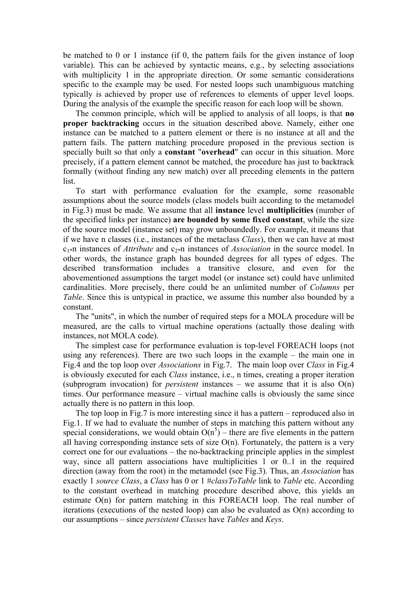be matched to 0 or 1 instance (if 0, the pattern fails for the given instance of loop variable). This can be achieved by syntactic means, e.g., by selecting associations with multiplicity 1 in the appropriate direction. Or some semantic considerations specific to the example may be used. For nested loops such unambiguous matching typically is achieved by proper use of references to elements of upper level loops. During the analysis of the example the specific reason for each loop will be shown.

The common principle, which will be applied to analysis of all loops, is that **no proper backtracking** occurs in the situation described above. Namely, either one instance can be matched to a pattern element or there is no instance at all and the pattern fails. The pattern matching procedure proposed in the previous section is specially built so that only a **constant** "**overhead**" can occur in this situation. More precisely, if a pattern element cannot be matched, the procedure has just to backtrack formally (without finding any new match) over all preceding elements in the pattern list.

To start with performance evaluation for the example, some reasonable assumptions about the source models (class models built according to the metamodel in Fig.3) must be made. We assume that all **instance** level **multiplicities** (number of the specified links per instance) **are bounded by some fixed constant**, while the size of the source model (instance set) may grow unboundedly. For example, it means that if we have n classes (i.e., instances of the metaclass *Class*), then we can have at most c1\*n instances of *Attribute* and c2\*n instances of *Association* in the source model. In other words, the instance graph has bounded degrees for all types of edges. The described transformation includes a transitive closure, and even for the abovementioned assumptions the target model (or instance set) could have unlimited cardinalities. More precisely, there could be an unlimited number of *Columns* per *Table*. Since this is untypical in practice, we assume this number also bounded by a constant.

The "units", in which the number of required steps for a MOLA procedure will be measured, are the calls to virtual machine operations (actually those dealing with instances, not MOLA code).

The simplest case for performance evaluation is top-level FOREACH loops (not using any references). There are two such loops in the example – the main one in Fig.4 and the top loop over *Associations* in Fig.7. The main loop over *Class* in Fig.4 is obviously executed for each *Class* instance, i.e., n times, creating a proper iteration (subprogram invocation) for *persistent* instances – we assume that it is also O(n) times. Our performance measure – virtual machine calls is obviously the same since actually there is no pattern in this loop.

The top loop in Fig.7 is more interesting since it has a pattern – reproduced also in Fig.1. If we had to evaluate the number of steps in matching this pattern without any special considerations, we would obtain  $O(n^5)$  – there are five elements in the pattern all having corresponding instance sets of size  $O(n)$ . Fortunately, the pattern is a very correct one for our evaluations – the no-backtracking principle applies in the simplest way, since all pattern associations have multiplicities 1 or 0..1 in the required direction (away from the root) in the metamodel (see Fig.3). Thus, an *Association* has exactly 1 *source Class*, a *Class* has 0 or 1 #*classToTable* link to *Table* etc. According to the constant overhead in matching procedure described above, this yields an estimate O(n) for pattern matching in this FOREACH loop. The real number of iterations (executions of the nested loop) can also be evaluated as O(n) according to our assumptions – since *persistent Classes* have *Tables* and *Keys*.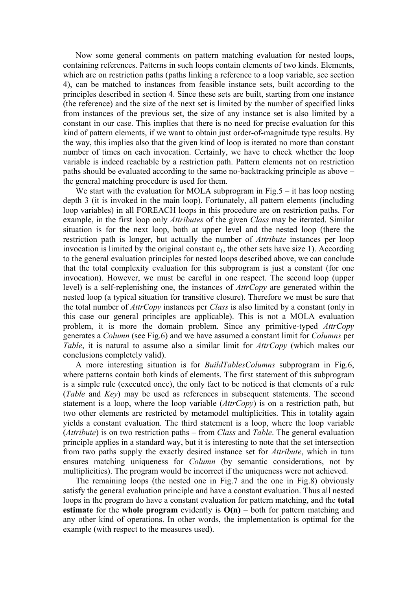Now some general comments on pattern matching evaluation for nested loops, containing references. Patterns in such loops contain elements of two kinds. Elements, which are on restriction paths (paths linking a reference to a loop variable, see section 4), can be matched to instances from feasible instance sets, built according to the principles described in section 4. Since these sets are built, starting from one instance (the reference) and the size of the next set is limited by the number of specified links from instances of the previous set, the size of any instance set is also limited by a constant in our case. This implies that there is no need for precise evaluation for this kind of pattern elements, if we want to obtain just order-of-magnitude type results. By the way, this implies also that the given kind of loop is iterated no more than constant number of times on each invocation. Certainly, we have to check whether the loop variable is indeed reachable by a restriction path. Pattern elements not on restriction paths should be evaluated according to the same no-backtracking principle as above – the general matching procedure is used for them.

We start with the evaluation for MOLA subprogram in Fig.  $5 - it$  has loop nesting depth 3 (it is invoked in the main loop). Fortunately, all pattern elements (including loop variables) in all FOREACH loops in this procedure are on restriction paths. For example, in the first loop only *Attributes* of the given *Class* may be iterated. Similar situation is for the next loop, both at upper level and the nested loop (there the restriction path is longer, but actually the number of *Attribute* instances per loop invocation is limited by the original constant  $c<sub>1</sub>$ , the other sets have size 1). According to the general evaluation principles for nested loops described above, we can conclude that the total complexity evaluation for this subprogram is just a constant (for one invocation). However, we must be careful in one respect. The second loop (upper level) is a self-replenishing one, the instances of *AttrCopy* are generated within the nested loop (a typical situation for transitive closure). Therefore we must be sure that the total number of *AttrCopy* instances per *Class* is also limited by a constant (only in this case our general principles are applicable). This is not a MOLA evaluation problem, it is more the domain problem. Since any primitive-typed *AttrCopy* generates a *Column* (see Fig.6) and we have assumed a constant limit for *Columns* per *Table*, it is natural to assume also a similar limit for *AttrCopy* (which makes our conclusions completely valid).

A more interesting situation is for *BuildTablesColumns* subprogram in Fig.6, where patterns contain both kinds of elements. The first statement of this subprogram is a simple rule (executed once), the only fact to be noticed is that elements of a rule (*Table* and *Key*) may be used as references in subsequent statements. The second statement is a loop, where the loop variable (*AttrCopy*) is on a restriction path, but two other elements are restricted by metamodel multiplicities. This in totality again yields a constant evaluation. The third statement is a loop, where the loop variable (*Attribute*) is on two restriction paths – from *Class* and *Table*. The general evaluation principle applies in a standard way, but it is interesting to note that the set intersection from two paths supply the exactly desired instance set for *Attribute*, which in turn ensures matching uniqueness for *Column* (by semantic considerations, not by multiplicities). The program would be incorrect if the uniqueness were not achieved.

The remaining loops (the nested one in Fig.7 and the one in Fig.8) obviously satisfy the general evaluation principle and have a constant evaluation. Thus all nested loops in the program do have a constant evaluation for pattern matching, and the **total estimate** for the **whole program** evidently is **O(n)** – both for pattern matching and any other kind of operations. In other words, the implementation is optimal for the example (with respect to the measures used).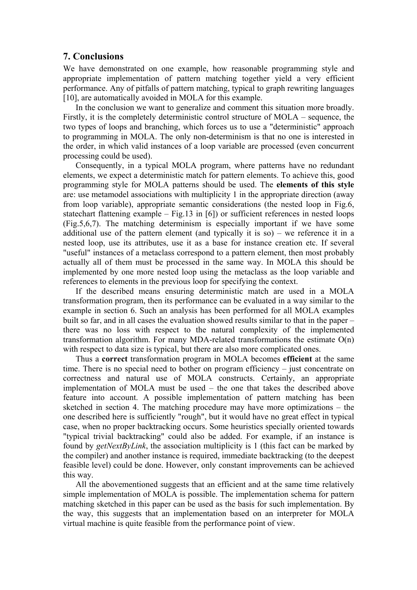## **7. Conclusions**

We have demonstrated on one example, how reasonable programming style and appropriate implementation of pattern matching together yield a very efficient performance. Any of pitfalls of pattern matching, typical to graph rewriting languages [10], are automatically avoided in MOLA for this example.

In the conclusion we want to generalize and comment this situation more broadly. Firstly, it is the completely deterministic control structure of MOLA – sequence, the two types of loops and branching, which forces us to use a "deterministic" approach to programming in MOLA. The only non-determinism is that no one is interested in the order, in which valid instances of a loop variable are processed (even concurrent processing could be used).

Consequently, in a typical MOLA program, where patterns have no redundant elements, we expect a deterministic match for pattern elements. To achieve this, good programming style for MOLA patterns should be used. The **elements of this style** are: use metamodel associations with multiplicity 1 in the appropriate direction (away from loop variable), appropriate semantic considerations (the nested loop in Fig.6, statechart flattening example – Fig.13 in [6]) or sufficient references in nested loops (Fig.5,6,7). The matching determinism is especially important if we have some additional use of the pattern element (and typically it is so) – we reference it in a nested loop, use its attributes, use it as a base for instance creation etc. If several "useful" instances of a metaclass correspond to a pattern element, then most probably actually all of them must be processed in the same way. In MOLA this should be implemented by one more nested loop using the metaclass as the loop variable and references to elements in the previous loop for specifying the context.

If the described means ensuring deterministic match are used in a MOLA transformation program, then its performance can be evaluated in a way similar to the example in section 6. Such an analysis has been performed for all MOLA examples built so far, and in all cases the evaluation showed results similar to that in the paper – there was no loss with respect to the natural complexity of the implemented transformation algorithm. For many MDA-related transformations the estimate  $O(n)$ with respect to data size is typical, but there are also more complicated ones.

Thus a **correct** transformation program in MOLA becomes **efficient** at the same time. There is no special need to bother on program efficiency – just concentrate on correctness and natural use of MOLA constructs. Certainly, an appropriate implementation of MOLA must be used – the one that takes the described above feature into account. A possible implementation of pattern matching has been sketched in section 4. The matching procedure may have more optimizations – the one described here is sufficiently "rough", but it would have no great effect in typical case, when no proper backtracking occurs. Some heuristics specially oriented towards "typical trivial backtracking" could also be added. For example, if an instance is found by *getNextByLink*, the association multiplicity is 1 (this fact can be marked by the compiler) and another instance is required, immediate backtracking (to the deepest feasible level) could be done. However, only constant improvements can be achieved this way.

All the abovementioned suggests that an efficient and at the same time relatively simple implementation of MOLA is possible. The implementation schema for pattern matching sketched in this paper can be used as the basis for such implementation. By the way, this suggests that an implementation based on an interpreter for MOLA virtual machine is quite feasible from the performance point of view.